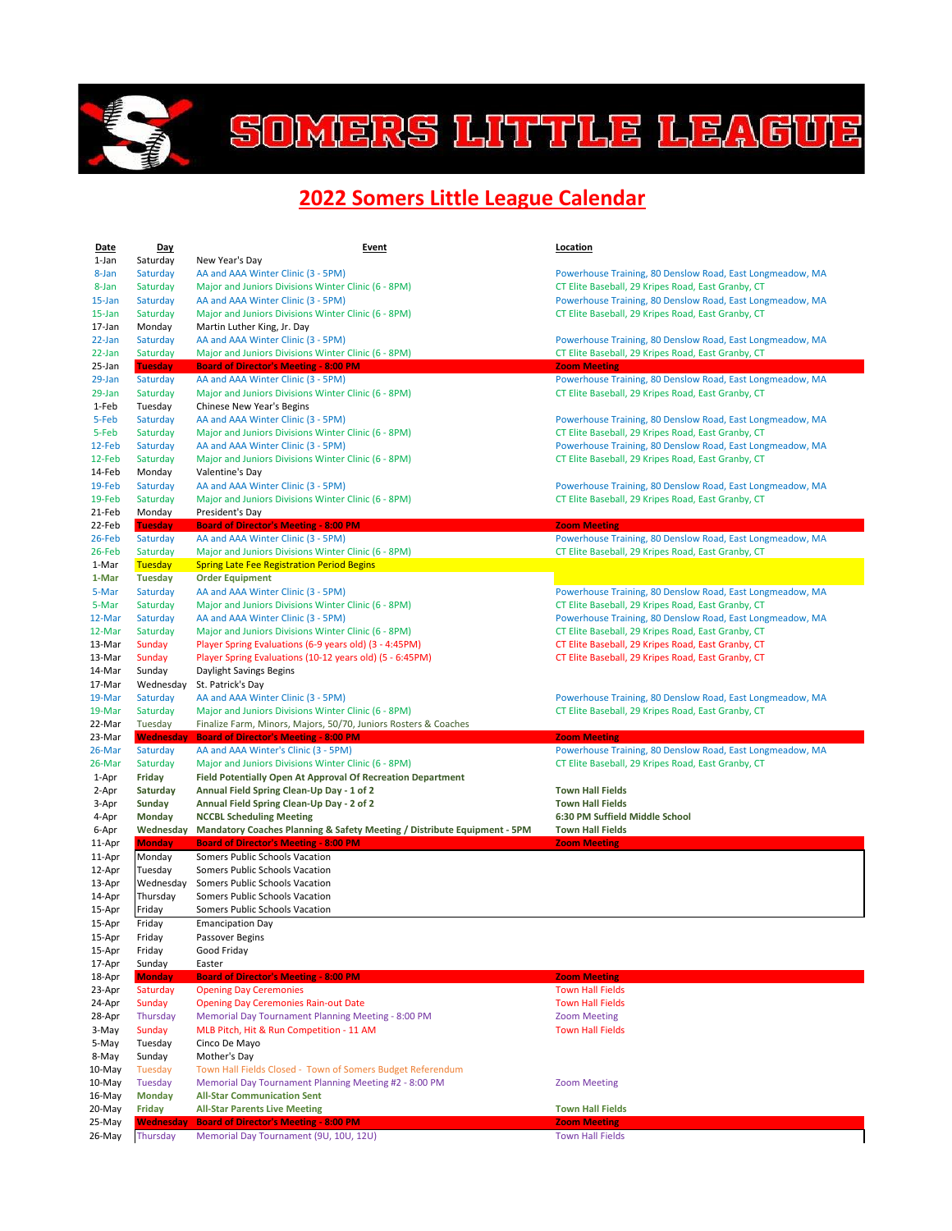

## SOMERS LITTLE LEAGUE

## **2022 Somers Little League Calendar**

| <b>Date</b>      | Day                        | <b>Event</b>                                                                                                              | <b>Location</b>                                                                                                 |
|------------------|----------------------------|---------------------------------------------------------------------------------------------------------------------------|-----------------------------------------------------------------------------------------------------------------|
| 1-Jan            | Saturday                   | New Year's Day                                                                                                            |                                                                                                                 |
| 8-Jan            | Saturday                   | AA and AAA Winter Clinic (3 - 5PM)                                                                                        | Powerhouse Training, 80 Denslow Road, East Longmeadow, MA                                                       |
| 8-Jan<br>15-Jan  | Saturday<br>Saturday       | Major and Juniors Divisions Winter Clinic (6 - 8PM)<br>AA and AAA Winter Clinic (3 - 5PM)                                 | CT Elite Baseball, 29 Kripes Road, East Granby, CT<br>Powerhouse Training, 80 Denslow Road, East Longmeadow, MA |
| 15-Jan           | Saturday                   | Major and Juniors Divisions Winter Clinic (6 - 8PM)                                                                       | CT Elite Baseball, 29 Kripes Road, East Granby, CT                                                              |
| 17-Jan           | Monday                     | Martin Luther King, Jr. Day                                                                                               |                                                                                                                 |
| 22-Jan           | Saturday                   | AA and AAA Winter Clinic (3 - 5PM)                                                                                        | Powerhouse Training, 80 Denslow Road, East Longmeadow, MA                                                       |
| 22-Jan           | Saturday                   | Major and Juniors Divisions Winter Clinic (6 - 8PM)                                                                       | CT Elite Baseball, 29 Kripes Road, East Granby, CT                                                              |
| 25-Jan           | <b>Tuesday</b>             | <b>Board of Director's Meeting - 8:00 PM</b>                                                                              | <b>Zoom Meeting</b>                                                                                             |
| 29-Jan           | Saturday                   | AA and AAA Winter Clinic (3 - 5PM)                                                                                        | Powerhouse Training, 80 Denslow Road, East Longmeadow, MA                                                       |
| 29-Jan           | Saturday                   | Major and Juniors Divisions Winter Clinic (6 - 8PM)                                                                       | CT Elite Baseball, 29 Kripes Road, East Granby, CT                                                              |
| 1-Feb<br>5-Feb   | Tuesday<br>Saturday        | Chinese New Year's Begins<br>AA and AAA Winter Clinic (3 - 5PM)                                                           | Powerhouse Training, 80 Denslow Road, East Longmeadow, MA                                                       |
| 5-Feb            | Saturday                   | Major and Juniors Divisions Winter Clinic (6 - 8PM)                                                                       | CT Elite Baseball, 29 Kripes Road, East Granby, CT                                                              |
| 12-Feb           | Saturday                   | AA and AAA Winter Clinic (3 - 5PM)                                                                                        | Powerhouse Training, 80 Denslow Road, East Longmeadow, MA                                                       |
| 12-Feb           | Saturday                   | Major and Juniors Divisions Winter Clinic (6 - 8PM)                                                                       | CT Elite Baseball, 29 Kripes Road, East Granby, CT                                                              |
| 14-Feb           | Monday                     | Valentine's Day                                                                                                           |                                                                                                                 |
| 19-Feb           | Saturday                   | AA and AAA Winter Clinic (3 - 5PM)                                                                                        | Powerhouse Training, 80 Denslow Road, East Longmeadow, MA                                                       |
| 19-Feb           | Saturday                   | Major and Juniors Divisions Winter Clinic (6 - 8PM)                                                                       | CT Elite Baseball, 29 Kripes Road, East Granby, CT                                                              |
| 21-Feb           | Monday                     | President's Day                                                                                                           |                                                                                                                 |
| 22-Feb<br>26-Feb | <b>Tuesday</b><br>Saturday | <b>Board of Director's Meeting - 8:00 PM</b><br>AA and AAA Winter Clinic (3 - 5PM)                                        | <b>Zoom Meeting</b><br>Powerhouse Training, 80 Denslow Road, East Longmeadow, MA                                |
| 26-Feb           | Saturday                   | Major and Juniors Divisions Winter Clinic (6 - 8PM)                                                                       | CT Elite Baseball, 29 Kripes Road, East Granby, CT                                                              |
| 1-Mar            | <b>Tuesday</b>             | <b>Spring Late Fee Registration Period Begins</b>                                                                         |                                                                                                                 |
| 1-Mar            | <b>Tuesday</b>             | <b>Order Equipment</b>                                                                                                    |                                                                                                                 |
| 5-Mar            | Saturday                   | AA and AAA Winter Clinic (3 - 5PM)                                                                                        | Powerhouse Training, 80 Denslow Road, East Longmeadow, MA                                                       |
| 5-Mar            | Saturday                   | Major and Juniors Divisions Winter Clinic (6 - 8PM)                                                                       | CT Elite Baseball, 29 Kripes Road, East Granby, CT                                                              |
| 12-Mar           | Saturday                   | AA and AAA Winter Clinic (3 - 5PM)                                                                                        | Powerhouse Training, 80 Denslow Road, East Longmeadow, MA                                                       |
| 12-Mar           | Saturday                   | Major and Juniors Divisions Winter Clinic (6 - 8PM)                                                                       | CT Elite Baseball, 29 Kripes Road, East Granby, CT                                                              |
| 13-Mar<br>13-Mar | Sunday<br>Sunday           | Player Spring Evaluations (6-9 years old) (3 - 4:45PM)<br>Player Spring Evaluations (10-12 years old) (5 - 6:45PM)        | CT Elite Baseball, 29 Kripes Road, East Granby, CT<br>CT Elite Baseball, 29 Kripes Road, East Granby, CT        |
| 14-Mar           | Sunday                     | Daylight Savings Begins                                                                                                   |                                                                                                                 |
| 17-Mar           | Wednesday                  | St. Patrick's Day                                                                                                         |                                                                                                                 |
| 19-Mar           | Saturday                   | AA and AAA Winter Clinic (3 - 5PM)                                                                                        | Powerhouse Training, 80 Denslow Road, East Longmeadow, MA                                                       |
| 19-Mar           | Saturday                   | Major and Juniors Divisions Winter Clinic (6 - 8PM)                                                                       | CT Elite Baseball, 29 Kripes Road, East Granby, CT                                                              |
| 22-Mar           | Tuesday                    | Finalize Farm, Minors, Majors, 50/70, Juniors Rosters & Coaches                                                           |                                                                                                                 |
| 23-Mar           | <b>Wednesday</b>           | <b>Board of Director's Meeting - 8:00 PM</b>                                                                              | <b>Zoom Meeting</b>                                                                                             |
| 26-Mar           | Saturday                   | AA and AAA Winter's Clinic (3 - 5PM)                                                                                      | Powerhouse Training, 80 Denslow Road, East Longmeadow, MA                                                       |
| 26-Mar<br>1-Apr  | Saturday<br>Friday         | Major and Juniors Divisions Winter Clinic (6 - 8PM)<br><b>Field Potentially Open At Approval Of Recreation Department</b> | CT Elite Baseball, 29 Kripes Road, East Granby, CT                                                              |
| 2-Apr            | Saturday                   | Annual Field Spring Clean-Up Day - 1 of 2                                                                                 | <b>Town Hall Fields</b>                                                                                         |
| 3-Apr            | Sunday                     | Annual Field Spring Clean-Up Day - 2 of 2                                                                                 | <b>Town Hall Fields</b>                                                                                         |
| 4-Apr            | <b>Monday</b>              | <b>NCCBL Scheduling Meeting</b>                                                                                           | 6:30 PM Suffield Middle School                                                                                  |
| 6-Apr            | Wednesday                  | Mandatory Coaches Planning & Safety Meeting / Distribute Equipment - 5PM                                                  | <b>Town Hall Fields</b>                                                                                         |
| 11-Apr           | <b>Monday</b>              | <b>Board of Director's Meeting - 8:00 PM</b>                                                                              | <b>Zoom Meeting</b>                                                                                             |
| 11-Apr           | Monday<br>Tuesday          | Somers Public Schools Vacation<br>Somers Public Schools Vacation                                                          |                                                                                                                 |
| 12-Apr<br>13-Apr | Wednesday                  | Somers Public Schools Vacation                                                                                            |                                                                                                                 |
| 14-Apr           | Thursday                   | Somers Public Schools Vacation                                                                                            |                                                                                                                 |
| 15-Apr           | Friday                     | Somers Public Schools Vacation                                                                                            |                                                                                                                 |
| 15-Apr           | Friday                     | <b>Emancipation Day</b>                                                                                                   |                                                                                                                 |
| 15-Apr           | Friday                     | Passover Begins                                                                                                           |                                                                                                                 |
| 15-Apr           | Friday                     | Good Friday                                                                                                               |                                                                                                                 |
| 17-Apr           | Sunday                     | Easter                                                                                                                    |                                                                                                                 |
| 18-Apr<br>23-Apr | <b>Monday</b><br>Saturday  | <b>Board of Director's Meeting - 8:00 PM</b><br><b>Opening Day Ceremonies</b>                                             | <b>Zoom Meeting</b><br><b>Town Hall Fields</b>                                                                  |
| 24-Apr           | Sunday                     | <b>Opening Day Ceremonies Rain-out Date</b>                                                                               | <b>Town Hall Fields</b>                                                                                         |
| 28-Apr           | Thursday                   | Memorial Day Tournament Planning Meeting - 8:00 PM                                                                        | <b>Zoom Meeting</b>                                                                                             |
| 3-May            | Sunday                     | MLB Pitch, Hit & Run Competition - 11 AM                                                                                  | <b>Town Hall Fields</b>                                                                                         |
| 5-May            | Tuesday                    | Cinco De Mayo                                                                                                             |                                                                                                                 |
| 8-May            | Sunday                     | Mother's Day                                                                                                              |                                                                                                                 |
| 10-May           | Tuesday                    | Town Hall Fields Closed - Town of Somers Budget Referendum                                                                |                                                                                                                 |
| 10-May<br>16-May | Tuesday<br><b>Monday</b>   | Memorial Day Tournament Planning Meeting #2 - 8:00 PM<br><b>All-Star Communication Sent</b>                               | <b>Zoom Meeting</b>                                                                                             |
| 20-May           | Friday                     | <b>All-Star Parents Live Meeting</b>                                                                                      | <b>Town Hall Fields</b>                                                                                         |
| 25-May           | <b>Wednesday</b>           | <b>Board of Director's Meeting - 8:00 PM</b>                                                                              | <b>Zoom Meeting</b>                                                                                             |
| 26-May           | Thursday                   | Memorial Day Tournament (9U, 10U, 12U)                                                                                    | <b>Town Hall Fields</b>                                                                                         |